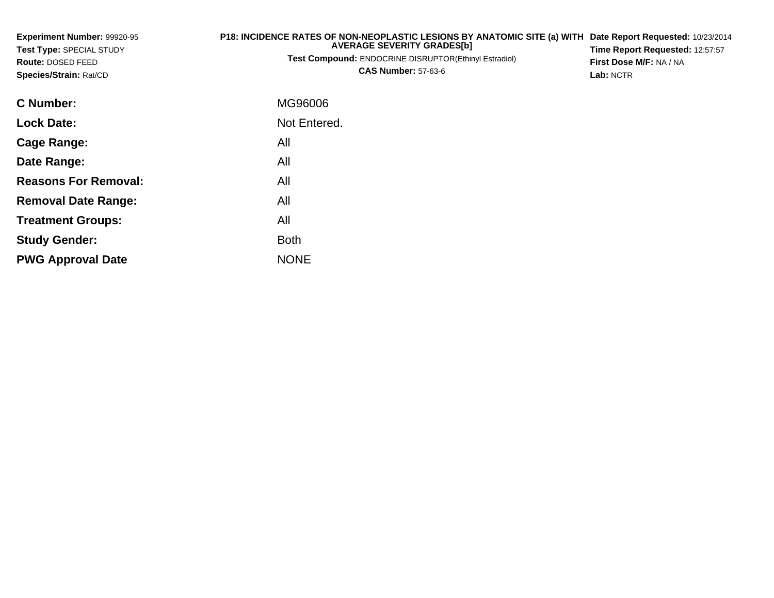| Experiment Number: 99920-95<br>Test Type: SPECIAL STUDY<br>Route: DOSED FEED<br>Species/Strain: Rat/CD | P18: INCIDENCE RATES OF NON-NEOPLASTIC LESIONS BY ANATOMIC SITE (a) WITH<br><b>AVERAGE SEVERITY GRADES[b]</b><br><b>Test Compound: ENDOCRINE DISRUPTOR(Ethinyl Estradiol)</b><br><b>CAS Number: 57-63-6</b> | Date Report Requested: 10/23/2014<br>Time Report Requested: 12:57:57<br>First Dose M/F: NA / NA<br>Lab: NCTR |
|--------------------------------------------------------------------------------------------------------|-------------------------------------------------------------------------------------------------------------------------------------------------------------------------------------------------------------|--------------------------------------------------------------------------------------------------------------|
| C Number:                                                                                              | MG96006                                                                                                                                                                                                     |                                                                                                              |
| <b>Lock Date:</b>                                                                                      | Not Entered.                                                                                                                                                                                                |                                                                                                              |
| Cage Range:                                                                                            | All                                                                                                                                                                                                         |                                                                                                              |
| Date Range:                                                                                            | All                                                                                                                                                                                                         |                                                                                                              |
| <b>Reasons For Removal:</b>                                                                            | All                                                                                                                                                                                                         |                                                                                                              |
| <b>Removal Date Range:</b>                                                                             | All                                                                                                                                                                                                         |                                                                                                              |
| <b>Treatment Groups:</b>                                                                               | All                                                                                                                                                                                                         |                                                                                                              |

Both

e NONE

**Study Gender:**

**PWG Approval Date**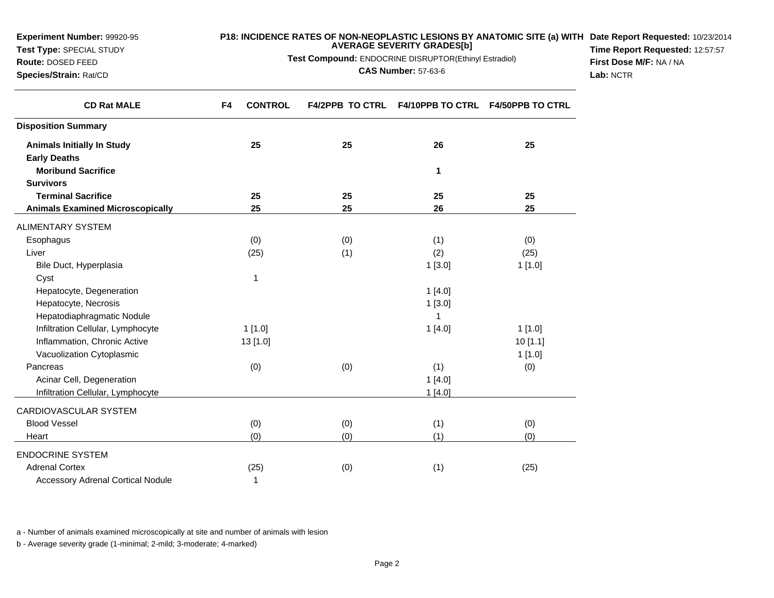| Route: DOSED FEED                        | Test Compound: ENDOCRINE DISRUPTOR(Ethinyl Estradiol) |     |                                                   |         | First Dose M/F: NA / NA |
|------------------------------------------|-------------------------------------------------------|-----|---------------------------------------------------|---------|-------------------------|
| Species/Strain: Rat/CD                   |                                                       |     | <b>CAS Number: 57-63-6</b>                        |         | Lab: NCTR               |
| <b>CD Rat MALE</b>                       | <b>CONTROL</b><br>F4                                  |     | F4/2PPB TO CTRL F4/10PPB TO CTRL F4/50PPB TO CTRL |         |                         |
| <b>Disposition Summary</b>               |                                                       |     |                                                   |         |                         |
| <b>Animals Initially In Study</b>        | 25                                                    | 25  | 26                                                | 25      |                         |
| <b>Early Deaths</b>                      |                                                       |     |                                                   |         |                         |
| <b>Moribund Sacrifice</b>                |                                                       |     | 1                                                 |         |                         |
| <b>Survivors</b>                         |                                                       |     |                                                   |         |                         |
| <b>Terminal Sacrifice</b>                | 25                                                    | 25  | 25                                                | 25      |                         |
| <b>Animals Examined Microscopically</b>  | 25                                                    | 25  | 26                                                | 25      |                         |
| <b>ALIMENTARY SYSTEM</b>                 |                                                       |     |                                                   |         |                         |
| Esophagus                                | (0)                                                   | (0) | (1)                                               | (0)     |                         |
| Liver                                    | (25)                                                  | (1) | (2)                                               | (25)    |                         |
| Bile Duct, Hyperplasia                   |                                                       |     | 1[3.0]                                            | 1[1.0]  |                         |
| Cyst                                     | $\mathbf{1}$                                          |     |                                                   |         |                         |
| Hepatocyte, Degeneration                 |                                                       |     | 1[4.0]                                            |         |                         |
| Hepatocyte, Necrosis                     |                                                       |     | 1[3.0]                                            |         |                         |
| Hepatodiaphragmatic Nodule               |                                                       |     | 1                                                 |         |                         |
| Infiltration Cellular, Lymphocyte        | 1[1.0]                                                |     | 1[4.0]                                            | 1[1.0]  |                         |
| Inflammation, Chronic Active             | 13 [1.0]                                              |     |                                                   | 10[1.1] |                         |
| Vacuolization Cytoplasmic                |                                                       |     |                                                   | 1[1.0]  |                         |
| Pancreas                                 | (0)                                                   | (0) | (1)                                               | (0)     |                         |
| Acinar Cell, Degeneration                |                                                       |     | 1[4.0]                                            |         |                         |
| Infiltration Cellular, Lymphocyte        |                                                       |     | 1[4.0]                                            |         |                         |
| CARDIOVASCULAR SYSTEM                    |                                                       |     |                                                   |         |                         |
| <b>Blood Vessel</b>                      | (0)                                                   | (0) | (1)                                               | (0)     |                         |
| Heart                                    | (0)                                                   | (0) | (1)                                               | (0)     |                         |
| <b>ENDOCRINE SYSTEM</b>                  |                                                       |     |                                                   |         |                         |
| <b>Adrenal Cortex</b>                    | (25)                                                  | (0) | (1)                                               | (25)    |                         |
| <b>Accessory Adrenal Cortical Nodule</b> | 1                                                     |     |                                                   |         |                         |

**P18: INCIDENCE RATES OF NON-NEOPLASTIC LESIONS BY ANATOMIC SITE (a) WITHDate Report Requested:** 10/23/2014

**Time Report Requested:** 12:57:57

**AVERAGE SEVERITY GRADES[b]**

a - Number of animals examined microscopically at site and number of animals with lesion

b - Average severity grade (1-minimal; 2-mild; 3-moderate; 4-marked)

**Experiment Number:** 99920-95**Test Type:** SPECIAL STUDY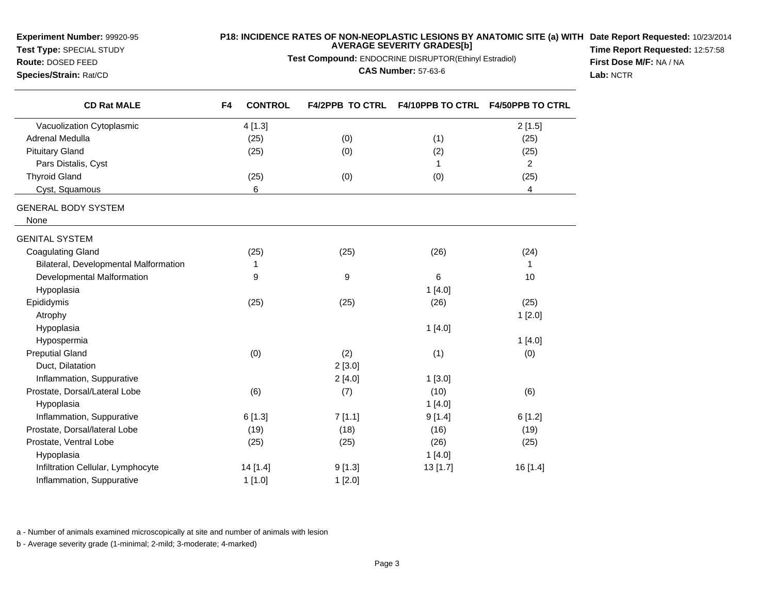**Experiment Number:** 99920-95

# **Test Type:** SPECIAL STUDY

**Species/Strain:** Rat/CD

 $\overline{\phantom{0}}$ 

# **Route:** DOSED FEED

# **P18: INCIDENCE RATES OF NON-NEOPLASTIC LESIONS BY ANATOMIC SITE (a) WITH AVERAGE SEVERITY GRADES[b] Date Report Requested:** 10/23/2014

**Test Compound:** ENDOCRINE DISRUPTOR(Ethinyl Estradiol)

#### **CAS Number:** 57-63-6

**Time Report Requested:** 12:57:58**First Dose M/F:** NA / NA**Lab:** NCTR

| <b>CD Rat MALE</b>                    | <b>CONTROL</b><br>F4 | <b>F4/2PPB TO CTRL</b> | <b>F4/10PPB TO CTRL</b> | <b>F4/50PPB TO CTRL</b> |
|---------------------------------------|----------------------|------------------------|-------------------------|-------------------------|
| Vacuolization Cytoplasmic             | 4[1.3]               |                        |                         | 2[1.5]                  |
| <b>Adrenal Medulla</b>                | (25)                 | (0)                    | (1)                     | (25)                    |
| <b>Pituitary Gland</b>                | (25)                 | (0)                    | (2)                     | (25)                    |
| Pars Distalis, Cyst                   |                      |                        | 1                       | 2                       |
| <b>Thyroid Gland</b>                  | (25)                 | (0)                    | (0)                     | (25)                    |
| Cyst, Squamous                        | 6                    |                        |                         | 4                       |
| <b>GENERAL BODY SYSTEM</b>            |                      |                        |                         |                         |
| None                                  |                      |                        |                         |                         |
| <b>GENITAL SYSTEM</b>                 |                      |                        |                         |                         |
| <b>Coagulating Gland</b>              | (25)                 | (25)                   | (26)                    | (24)                    |
| Bilateral, Developmental Malformation | 1                    |                        |                         | $\mathbf{1}$            |
| Developmental Malformation            | 9                    | 9                      | 6                       | 10                      |
| Hypoplasia                            |                      |                        | 1[4.0]                  |                         |
| Epididymis                            | (25)                 | (25)                   | (26)                    | (25)                    |
| Atrophy                               |                      |                        |                         | 1[2.0]                  |
| Hypoplasia                            |                      |                        | 1[4.0]                  |                         |
| Hypospermia                           |                      |                        |                         | 1[4.0]                  |
| <b>Preputial Gland</b>                | (0)                  | (2)                    | (1)                     | (0)                     |
| Duct, Dilatation                      |                      | 2[3.0]                 |                         |                         |
| Inflammation, Suppurative             |                      | 2[4.0]                 | 1[3.0]                  |                         |
| Prostate, Dorsal/Lateral Lobe         | (6)                  | (7)                    | (10)                    | (6)                     |
| Hypoplasia                            |                      |                        | 1[4.0]                  |                         |
| Inflammation, Suppurative             | 6[1.3]               | 7[1.1]                 | 9[1.4]                  | 6[1.2]                  |
| Prostate, Dorsal/lateral Lobe         | (19)                 | (18)                   | (16)                    | (19)                    |
| Prostate, Ventral Lobe                | (25)                 | (25)                   | (26)                    | (25)                    |
| Hypoplasia                            |                      |                        | 1[4.0]                  |                         |
| Infiltration Cellular, Lymphocyte     | 14 [1.4]             | 9[1.3]                 | 13 [1.7]                | 16 [1.4]                |
| Inflammation, Suppurative             | 1[1.0]               | 1[2.0]                 |                         |                         |
|                                       |                      |                        |                         |                         |

a - Number of animals examined microscopically at site and number of animals with lesion

b - Average severity grade (1-minimal; 2-mild; 3-moderate; 4-marked)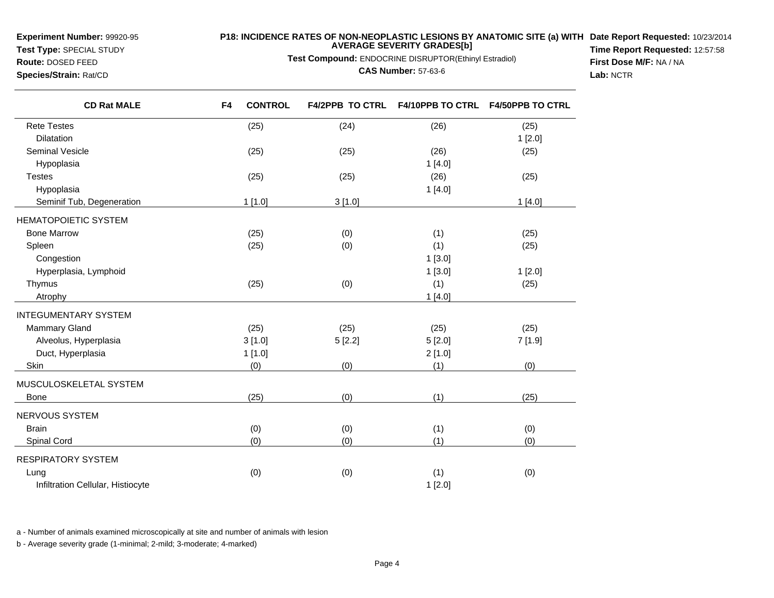**Experiment Number:** 99920-95

**Test Type:** SPECIAL STUDY**Route:** DOSED FEED

**Species/Strain:** Rat/CD

## **P18: INCIDENCE RATES OF NON-NEOPLASTIC LESIONS BY ANATOMIC SITE (a) WITH AVERAGE SEVERITY GRADES[b] Date Report Requested:** 10/23/2014

**Test Compound:** ENDOCRINE DISRUPTOR(Ethinyl Estradiol)

**CAS Number:** 57-63-6

**Time Report Requested:** 12:57:58**First Dose M/F:** NA / NA**Lab:** NCTR

| <b>CD Rat MALE</b>                | <b>CONTROL</b><br>F4 | <b>F4/2PPB TO CTRL</b> | <b>F4/10PPB TO CTRL</b> | <b>F4/50PPB TO CTRL</b> |
|-----------------------------------|----------------------|------------------------|-------------------------|-------------------------|
| <b>Rete Testes</b>                | (25)                 | (24)                   | (26)                    | (25)                    |
| Dilatation                        |                      |                        |                         | 1[2.0]                  |
| <b>Seminal Vesicle</b>            | (25)                 | (25)                   | (26)                    | (25)                    |
| Hypoplasia                        |                      |                        | 1[4.0]                  |                         |
| <b>Testes</b>                     | (25)                 | (25)                   | (26)                    | (25)                    |
| Hypoplasia                        |                      |                        | 1[4.0]                  |                         |
| Seminif Tub, Degeneration         | 1[1.0]               | 3[1.0]                 |                         | 1[4.0]                  |
| <b>HEMATOPOIETIC SYSTEM</b>       |                      |                        |                         |                         |
| <b>Bone Marrow</b>                | (25)                 | (0)                    | (1)                     | (25)                    |
| Spleen                            | (25)                 | (0)                    | (1)                     | (25)                    |
| Congestion                        |                      |                        | 1[3.0]                  |                         |
| Hyperplasia, Lymphoid             |                      |                        | 1[3.0]                  | 1[2.0]                  |
| Thymus                            | (25)                 | (0)                    | (1)                     | (25)                    |
| Atrophy                           |                      |                        | 1[4.0]                  |                         |
| <b>INTEGUMENTARY SYSTEM</b>       |                      |                        |                         |                         |
| <b>Mammary Gland</b>              | (25)                 | (25)                   | (25)                    | (25)                    |
| Alveolus, Hyperplasia             | 3[1.0]               | 5[2.2]                 | 5[2.0]                  | 7[1.9]                  |
| Duct, Hyperplasia                 | 1[1.0]               |                        | 2[1.0]                  |                         |
| Skin                              | (0)                  | (0)                    | (1)                     | (0)                     |
| MUSCULOSKELETAL SYSTEM            |                      |                        |                         |                         |
| <b>Bone</b>                       | (25)                 | (0)                    | (1)                     | (25)                    |
| NERVOUS SYSTEM                    |                      |                        |                         |                         |
| <b>Brain</b>                      | (0)                  | (0)                    | (1)                     | (0)                     |
| Spinal Cord                       | (0)                  | (0)                    | (1)                     | (0)                     |
| RESPIRATORY SYSTEM                |                      |                        |                         |                         |
| Lung                              | (0)                  | (0)                    | (1)                     | (0)                     |
| Infiltration Cellular, Histiocyte |                      |                        | 1[2.0]                  |                         |

a - Number of animals examined microscopically at site and number of animals with lesion

b - Average severity grade (1-minimal; 2-mild; 3-moderate; 4-marked)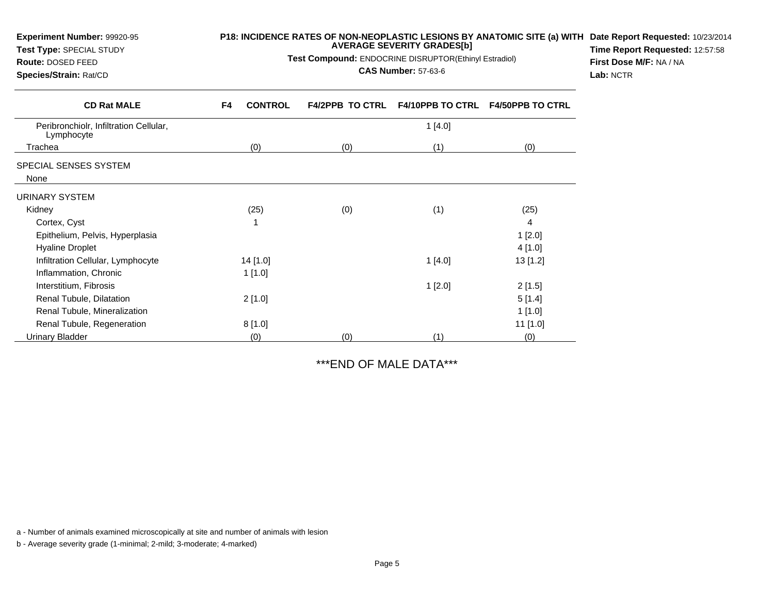| <b>Experiment Number: 99920-95</b><br>Test Type: SPECIAL STUDY<br>Route: DOSED FEED<br>Species/Strain: Rat/CD |                      | P18: INCIDENCE RATES OF NON-NEOPLASTIC LESIONS BY ANATOMIC SITE (a) WITH Date Report Requested: 10/23/2014<br><b>AVERAGE SEVERITY GRADES[b]</b><br>Time Report Requested: 12:57:58<br>Test Compound: ENDOCRINE DISRUPTOR(Ethinyl Estradiol)<br>First Dose M/F: NA / NA<br><b>CAS Number: 57-63-6</b><br>Lab: NCTR |                         |                         |  |
|---------------------------------------------------------------------------------------------------------------|----------------------|-------------------------------------------------------------------------------------------------------------------------------------------------------------------------------------------------------------------------------------------------------------------------------------------------------------------|-------------------------|-------------------------|--|
| <b>CD Rat MALE</b>                                                                                            | <b>CONTROL</b><br>F4 | <b>F4/2PPB TO CTRL</b>                                                                                                                                                                                                                                                                                            | <b>F4/10PPB TO CTRL</b> | <b>F4/50PPB TO CTRL</b> |  |
| Peribronchiolr, Infiltration Cellular,<br>Lymphocyte                                                          |                      |                                                                                                                                                                                                                                                                                                                   | 1[4.0]                  |                         |  |
| Trachea                                                                                                       | (0)                  | (0)                                                                                                                                                                                                                                                                                                               | (1)                     | (0)                     |  |
| SPECIAL SENSES SYSTEM                                                                                         |                      |                                                                                                                                                                                                                                                                                                                   |                         |                         |  |
| None                                                                                                          |                      |                                                                                                                                                                                                                                                                                                                   |                         |                         |  |
| <b>URINARY SYSTEM</b>                                                                                         |                      |                                                                                                                                                                                                                                                                                                                   |                         |                         |  |
| Kidney                                                                                                        | (25)                 | (0)                                                                                                                                                                                                                                                                                                               | (1)                     | (25)                    |  |
| Cortex, Cyst                                                                                                  |                      |                                                                                                                                                                                                                                                                                                                   |                         | 4                       |  |
| Epithelium, Pelvis, Hyperplasia                                                                               |                      |                                                                                                                                                                                                                                                                                                                   |                         | 1[2.0]                  |  |
| <b>Hyaline Droplet</b>                                                                                        |                      |                                                                                                                                                                                                                                                                                                                   |                         | 4[1.0]                  |  |
| Infiltration Cellular, Lymphocyte                                                                             | 14 [1.0]             |                                                                                                                                                                                                                                                                                                                   | 1[4.0]                  | 13 [1.2]                |  |
| Inflammation, Chronic                                                                                         | 1[1.0]               |                                                                                                                                                                                                                                                                                                                   |                         |                         |  |
| Interstitium, Fibrosis                                                                                        |                      |                                                                                                                                                                                                                                                                                                                   | 1[2.0]                  | 2[1.5]                  |  |
| Renal Tubule, Dilatation                                                                                      | 2[1.0]               |                                                                                                                                                                                                                                                                                                                   |                         | 5[1.4]                  |  |
| Renal Tubule, Mineralization                                                                                  |                      |                                                                                                                                                                                                                                                                                                                   |                         | 1[1.0]                  |  |
| Renal Tubule, Regeneration                                                                                    | 8[1.0]               |                                                                                                                                                                                                                                                                                                                   |                         | 11 [1.0]                |  |
| Urinary Bladder                                                                                               | (0)                  | (0)                                                                                                                                                                                                                                                                                                               | (1)                     | (0)                     |  |

\*\*\*END OF MALE DATA\*\*\*

a - Number of animals examined microscopically at site and number of animals with lesion

b - Average severity grade (1-minimal; 2-mild; 3-moderate; 4-marked)

**Experiment Number:** 99920-95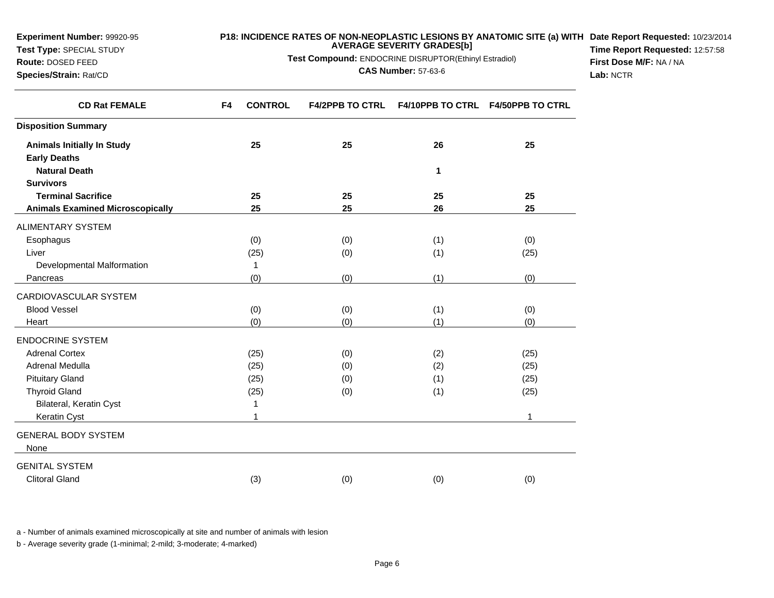| Route: DOSED FEED<br>Species/Strain: Rat/CD   | Test Compound: ENDOCRINE DISRUPTOR(Ethinyl Estradiol)<br><b>CAS Number: 57-63-6</b> |                        |              |                                   | First Dose M/F: NA / NA<br>Lab: NCTR |
|-----------------------------------------------|-------------------------------------------------------------------------------------|------------------------|--------------|-----------------------------------|--------------------------------------|
| <b>CD Rat FEMALE</b>                          | <b>CONTROL</b><br>F4                                                                | <b>F4/2PPB TO CTRL</b> |              | F4/10PPB TO CTRL F4/50PPB TO CTRL |                                      |
| <b>Disposition Summary</b>                    |                                                                                     |                        |              |                                   |                                      |
| <b>Animals Initially In Study</b>             | 25                                                                                  | 25                     | 26           | 25                                |                                      |
| <b>Early Deaths</b>                           |                                                                                     |                        |              |                                   |                                      |
| <b>Natural Death</b>                          |                                                                                     |                        | $\mathbf{1}$ |                                   |                                      |
| <b>Survivors</b><br><b>Terminal Sacrifice</b> | 25                                                                                  | 25                     | 25           | 25                                |                                      |
| <b>Animals Examined Microscopically</b>       | 25                                                                                  | 25                     | 26           | 25                                |                                      |
|                                               |                                                                                     |                        |              |                                   |                                      |
| ALIMENTARY SYSTEM<br>Esophagus                | (0)                                                                                 | (0)                    | (1)          | (0)                               |                                      |
| Liver                                         | (25)                                                                                | (0)                    | (1)          | (25)                              |                                      |
| Developmental Malformation                    | $\mathbf{1}$                                                                        |                        |              |                                   |                                      |
| Pancreas                                      | (0)                                                                                 | (0)                    | (1)          | (0)                               |                                      |
| CARDIOVASCULAR SYSTEM                         |                                                                                     |                        |              |                                   |                                      |
| <b>Blood Vessel</b>                           | (0)                                                                                 | (0)                    | (1)          | (0)                               |                                      |
| Heart                                         | (0)                                                                                 | (0)                    | (1)          | (0)                               |                                      |
| <b>ENDOCRINE SYSTEM</b>                       |                                                                                     |                        |              |                                   |                                      |
| <b>Adrenal Cortex</b>                         | (25)                                                                                | (0)                    | (2)          | (25)                              |                                      |
| Adrenal Medulla                               | (25)                                                                                | (0)                    | (2)          | (25)                              |                                      |
| <b>Pituitary Gland</b>                        | (25)                                                                                | (0)                    | (1)          | (25)                              |                                      |
| <b>Thyroid Gland</b>                          | (25)                                                                                | (0)                    | (1)          | (25)                              |                                      |
| Bilateral, Keratin Cyst                       | 1                                                                                   |                        |              |                                   |                                      |
| Keratin Cyst                                  | $\overline{1}$                                                                      |                        |              | $\mathbf 1$                       |                                      |
| <b>GENERAL BODY SYSTEM</b>                    |                                                                                     |                        |              |                                   |                                      |
| None                                          |                                                                                     |                        |              |                                   |                                      |
| <b>GENITAL SYSTEM</b>                         |                                                                                     |                        |              |                                   |                                      |
| <b>Clitoral Gland</b>                         | (3)                                                                                 | (0)                    | (0)          | (0)                               |                                      |
|                                               |                                                                                     |                        |              |                                   |                                      |

**P18: INCIDENCE RATES OF NON-NEOPLASTIC LESIONS BY ANATOMIC SITE (a) WITHDate Report Requested:** 10/23/2014

**Time Report Requested:** 12:57:58

**AVERAGE SEVERITY GRADES[b]**

a - Number of animals examined microscopically at site and number of animals with lesion

b - Average severity grade (1-minimal; 2-mild; 3-moderate; 4-marked)

**Experiment Number:** 99920-95**Test Type:** SPECIAL STUDY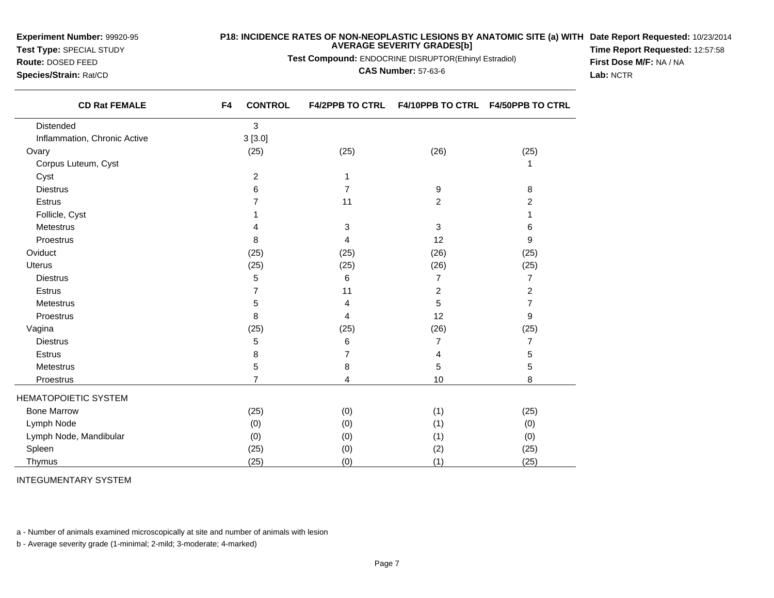**Experiment Number:** 99920-95

**Test Type:** SPECIAL STUDY**Route:** DOSED FEED

**Species/Strain:** Rat/CD

## **P18: INCIDENCE RATES OF NON-NEOPLASTIC LESIONS BY ANATOMIC SITE (a) WITH AVERAGE SEVERITY GRADES[b] Date Report Requested:** 10/23/2014

**Test Compound:** ENDOCRINE DISRUPTOR(Ethinyl Estradiol)

**CAS Number:** 57-63-6

**Time Report Requested:** 12:57:58**First Dose M/F:** NA / NA**Lab:** NCTR

| <b>CD Rat FEMALE</b>         | <b>CONTROL</b><br>F4 | <b>F4/2PPB TO CTRL</b> | F4/10PPB TO CTRL F4/50PPB TO CTRL |                |
|------------------------------|----------------------|------------------------|-----------------------------------|----------------|
| Distended                    | 3                    |                        |                                   |                |
| Inflammation, Chronic Active | 3[3.0]               |                        |                                   |                |
| Ovary                        | (25)                 | (25)                   | (26)                              | (25)           |
| Corpus Luteum, Cyst          |                      |                        |                                   |                |
| Cyst                         | $\overline{2}$       | 1                      |                                   |                |
| <b>Diestrus</b>              | 6                    | $\overline{7}$         | 9                                 | 8              |
| Estrus                       | 7                    | 11                     | $\overline{2}$                    | 2              |
| Follicle, Cyst               |                      |                        |                                   |                |
| <b>Metestrus</b>             |                      | 3                      | 3                                 | 6              |
| Proestrus                    | 8                    | 4                      | 12                                | 9              |
| Oviduct                      | (25)                 | (25)                   | (26)                              | (25)           |
| Uterus                       | (25)                 | (25)                   | (26)                              | (25)           |
| <b>Diestrus</b>              | 5                    | 6                      | $\overline{7}$                    | $\overline{7}$ |
| Estrus                       | 7                    | 11                     | 2                                 | $\overline{c}$ |
| <b>Metestrus</b>             | 5                    | 4                      | 5                                 | 7              |
| Proestrus                    | 8                    | 4                      | 12                                | 9              |
| Vagina                       | (25)                 | (25)                   | (26)                              | (25)           |
| <b>Diestrus</b>              | 5                    | 6                      | 7                                 | 7              |
| Estrus                       | 8                    | 7                      | 4                                 | 5              |
| Metestrus                    | 5                    | 8                      | 5                                 | 5              |
| Proestrus                    | $\overline{7}$       | 4                      | 10                                | 8              |
| <b>HEMATOPOIETIC SYSTEM</b>  |                      |                        |                                   |                |
| <b>Bone Marrow</b>           | (25)                 | (0)                    | (1)                               | (25)           |
| Lymph Node                   | (0)                  | (0)                    | (1)                               | (0)            |
| Lymph Node, Mandibular       | (0)                  | (0)                    | (1)                               | (0)            |
| Spleen                       | (25)                 | (0)                    | (2)                               | (25)           |
| Thymus                       | (25)                 | (0)                    | (1)                               | (25)           |

INTEGUMENTARY SYSTEM

a - Number of animals examined microscopically at site and number of animals with lesion

b - Average severity grade (1-minimal; 2-mild; 3-moderate; 4-marked)